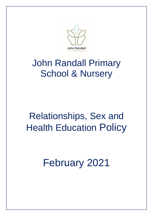

# John Randall Primary School & Nursery

# Relationships, Sex and Health Education Policy

February 2021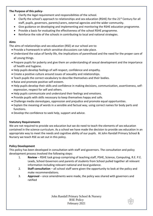#### **The Purpose of this policy-**

- Clarify the legal requirement and responsibilities of the school.
- Clarify the school's approach to relationships and sex education (RSHE) for the 21st Century for all staff, pupils, governors, parents/carers, external agencies and the wider community.
- Give guidance on developing and implementing and monitoring the RSHE education programme.
- Provide a basis for evaluating the effectiveness of the school RSHE programme.
- Reinforce the role of the schools in contributing to local and national strategies.

#### **Aims**

The aims of relationships and sex education (RSE) at our school are to:

- Provide a framework in which sensitive discussions can take place.
- Understand the value of family life, the implications of parenthood and the need for the proper care of all young things.
- Prepare pupils for puberty and give them an understanding of sexual development and the importance of health and hygiene.
- Help pupils develop feelings of self-respect, confidence and empathy.
- Create a positive culture around issues of sexuality and relationships.
- Teach pupils the correct vocabulary to describe themselves and their bodies.
- Raise and promote positive self-esteem.
- Help pupils develop their skills and confidence in making decisions, communication, assertiveness, selfexpression, respect for self and others.
- Help pupils communicate and understand their feelings and emotions.
- Provide pupils with skills necessary to keep themselves happy and safe.
- Challenge media stereotypes, oppression and prejudice and promote equal opportunities.
- Explain the meaning of words in a sensible and factual way, using correct names for body parts and functions.
- Develop the confidence to seek help, support and advice.

### **Statutory Requirements**

We are not required to provide sex education but we do need to teach the elements of sex education contained in the science curriculum. As a school we have made the decision to provide sex education in an appropriate way to meet the needs and cognitive ability of our pupils. At John Randall Primary School & Nursery we teach RSE as set out in this policy.

### **Policy Development**

This policy has been developed in consultation with staff and governors. The consultation and policy development process involved the following steps:

- 1. **Review**  RSHE task group comprising of teaching staff, PSHE, Science, Computing, R.E. P.E. Leads, School Governors and parents of students from School pulled together all relevant information including relevant national and local guidance.
- 2. **Staff consultation** all school staff were given the opportunity to look at the policy and make recommendations.
- 3. **Approval** once amendments were made, the policy was shared with governors and ratified

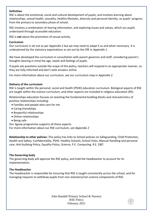#### **Definition**

RSE is about the emotional, social and cultural development of pupils, and involves learning about relationships, sexual health, sexuality, healthy lifestyles, diversity and personal identity, as pupils' progress from the primary to secondary phase of school.

RSE involves a combination of sharing information, and exploring issues and values, which our pupils understand through accessible education.

RSE is **not** about the promotion of sexual activity.

#### **Curriculum**

Our curriculum is set out as per Appendix 2 but we may need to adapt it as and when necessary. It is underpinned by the statutory expectations as set out by the DfE in *Appendix 1*.

We have developed the curriculum in consultation with parent governor and staff, considering parent's thoughts bearing in mind the age, needs and feelings of pupils.

If pupils ask questions outside the scope of this policy, teachers will respond in an appropriate manner, so they are fully informed and don't seek answers online.

For more information about our curriculum, see our curriculum map in *Appendix 2.*

#### **Delivery of the curriculum**

RSE is taught within the personal, social and health (PSHE) education curriculum. Biological aspects of RSE are taught within the science curriculum, and other aspects are included in religious education (RE).

Relationships education focuses on teaching the fundamental building blocks and characteristics of positive relationships including:

- Families and people who care for me
- Caring friendships
- Respectful relationships
- Online relationships
- Being safe

Our Jigsaw programme supports all these aspects.

For more information about our RSE curriculum, *see Appendix 2*

**Relationship to other policies:** This policy has links to School policies on Safeguarding, Child Protection, Health and Safety, Confidentiality, PSHE, Healthy Schools, School Visits, Manual Handling and personal care, Anti-bullying Policy, Equality Policy, Science, P.E. Computing. R.E. D&T.

#### **The Governing body**

The governing body will approve the RSE policy, and hold the headteacher to account for its implementation.

#### **The Headteacher**

The headteacher is responsible for ensuring that RSE is taught consistently across the school, and for managing requests to withdraw pupils from non-statutory/non-science components of RSE.

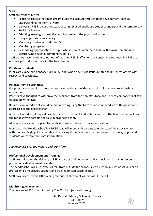## **Staff**

Staff are responsible for:

- Teaching aspects that mainstream pupils will acquire through their development, such as understanding the term 'private'
- Delivering RSE in a sensitive way, ensuring that all pupils and students understand the terminology
- Revisiting learning
- Adapting learning to meet the learning needs of the pupils and students
- Using appropriate vocabulary
- Modelling positive attitudes to RSE
- Monitoring progress
- Responding appropriately to pupils whose parents wish them to be withdrawn from the nonstatutory/non-science components of RSE

Staff do not have the right to opt out of teaching RSE. Staff who have concerns about teaching RSE are encouraged to discuss this with the headteacher.

### **Pupils and students**

Pupils are expected to engage fully in RSE and, when discussing issues related to RSE, treat others with respect and sensitivity.

## **Parents' right to withdraw**

For primary aged pupils parents do not have the right to withdraw their children from relationships education.

Parents have the right to withdraw their children from the non-statutory/non-science components of sex education within RSE.

Requests for withdrawal should be put in writing using the form found in Appendix 3 of this policy and addressed to the headteacher.

A copy of withdrawal requests will be placed in the pupil's educational record. The headteacher will discuss the request with parents and take appropriate action.

Alternative work will be given to pupils who are withdrawn from sex education.

In all cases the Headteacher/PSHE/RSE Lead will meet with parents to understand their decision to withdraw and highlight the benefits of receiving this education with their peers. In this way pupils and students will receive accurate information.

*See Appendix 3 for the right to withdraw form*

### **Professional Development and Training**

Staff are trained on the delivery of RSE as part of their induction and it is included in our continuing professional development calendar.

The headteacher will also invite visitors from outside the school, such as school nurses or sexual health professionals, to provide support and training to staff teaching RSE.

Staff have accessed the DfE training materials linked to all aspects of RE-RSE-HE.

### **Monitoring Arrangements**

The delivery of RSE is monitored by The PSHE subject lead through:

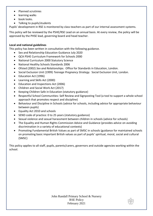- Planned scrutinies
- **•** learning walks
- book looks.
- Talking to pupils/students

Pupils' development in RSE is monitored by class teachers as part of our internal assessment systems.

This policy will be reviewed by the PSHE/RSE Lead on an annual basis. At every review, the policy will be approved by the PHSE lead, governing board and head teacher.

### **Local and national guidelines**

This policy has been written in consultation with the following guidance.

- Sex and Relationship Education Guidance July 2020
- QCA PSHE Curriculum Framework for Schools 2000
- National Curriculum 2000 Statutory Science
- National Healthy Schools Standards 2006
- Ofsted (2002) *Sex and Relationships*. Office for Standards in Education, London.
- Social Exclusion Unit (1999) *Teenage Pregnancy Strategy.* Social Exclusion Unit, London.
- Education Act (1996)
- Learning and Skills Act (2000)
- Education and Inspections Act (2006)
- Children and Social Work Act (2017)
- Keeping Children Safe in Education (statutory guidance)
- Respectful School Communities: Self Review and Signposting Tool (a tool to support a whole school approach that promotes respect and discipline)
- Behaviour and Discipline in Schools (advice for schools, including advice for appropriate behaviour between pupils)
- Equality Act 2010 and schools
- SEND code of practice: 0 to 25 years (statutory guidance)
- Sexual violence and sexual harassment between children in schools (advice for schools)
- The Equality and Human Rights Commission Advice and Guidance (provides advice on avoiding discrimination in a variety of educational contexts)
- Promoting Fundamental British Values as part of SMSC in schools (guidance for maintained schools on promoting basic important British values as part of pupils' spiritual, moral, social and cultural (SMSC)

This policy applies to all staff, pupils, parents/carers, governors and outside agencies working within the school.

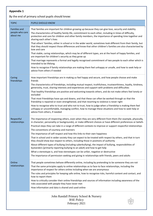# **Appendix 1**

# By the end of primary school pupils should know:

| <b>TOPIC</b>                                       | PUPILS SHOULD KNOW                                                                                                                                                                                                                                                                                                                                                                                                                                                                                                                                                                                                                                                                                                                                                                                                                                                                                                                                                                                                                                                       |
|----------------------------------------------------|--------------------------------------------------------------------------------------------------------------------------------------------------------------------------------------------------------------------------------------------------------------------------------------------------------------------------------------------------------------------------------------------------------------------------------------------------------------------------------------------------------------------------------------------------------------------------------------------------------------------------------------------------------------------------------------------------------------------------------------------------------------------------------------------------------------------------------------------------------------------------------------------------------------------------------------------------------------------------------------------------------------------------------------------------------------------------|
| <b>Families and</b><br>people who care<br>about me | That families are important for children growing up because they can give love, security and stability<br>The characteristics of healthy family life, commitment to each other, including in times of difficulty,<br>protection and care for children and other family members, the importance of spending time together and<br>sharing each other's lives<br>That others' families, either in school or in the wider world, sometimes look different from their family, but<br>that they should respect those differences and know that other children's families are also characterised by<br>love and care<br>That stable, caring relationships, which may be of different types, are at the heart of happy families, and<br>are important for children's security as they grow up<br>That marriage represents a formal and legally recognised commitment of two people to each other which is<br>intended to be lifelong<br>How to recognise if family relationships are making them feel unhappy or unsafe, and how to seek help or<br>advice from others if needed |
| Caring<br>friendships                              | How important friendships are in making us feel happy and secure, and how people choose and make<br>friends<br>The characteristics of friendships, including mutual respect, truthfulness, trustworthiness, loyalty, kindness,<br>generosity, trust, sharing interests and experiences and support with problems and difficulties<br>That healthy friendships are positive and welcoming towards others, and do not make others feel lonely or<br>excluded<br>That most friendships have ups and downs, and that these can often be worked through so that the<br>friendship is repaired or even strengthened, and that resorting to violence is never right<br>How to recognise who to trust and who not to trust, how to judge when a friendship is making them feel<br>unhappy or uncomfortable, managing conflict, how to manage these situations and how to seek help or<br>advice from others, if needed                                                                                                                                                           |
| Respectful<br>relationships                        | The importance of respecting others, even when they are very different from them (for example, physically,<br>in character, personality or backgrounds), or make different choices or have different preferences or beliefs<br>Practical steps they can take in a range of different contexts to improve or support respectful relationships<br>The conventions of courtesy and manners<br>The importance of self-respect and how this links to their own happiness<br>That in school and in wider society they can expect to be treated with respect by others, and that in turn<br>they should show due respect to others, including those in positions of authority<br>About different types of bullying (including cyberbullying), the impact of bullying, responsibilities of<br>bystanders (primarily reporting bullying to an adult) and how to get help<br>What a stereotype is, and how stereotypes can be unfair, negative or destructive<br>The importance of permission-seeking and giving in relationships with friends, peers and adults                   |
| Online<br>relationships                            | That people sometimes behave differently online, including by pretending to be someone they are not<br>That the same principles apply to online relationships as to face-to face relationships, including the<br>importance of respect for others online including when we are anonymous<br>The rules and principles for keeping safe online, how to recognise risks, harmful content and contact, and<br>how to report them<br>How to critically consider their online friendships and sources of information including awareness of the<br>risks associated with people they have never met<br>How information and data is shared and used online                                                                                                                                                                                                                                                                                                                                                                                                                      |
|                                                    | John Randall Primary School & Nursery<br><b>RSE Policy</b><br>February 2021                                                                                                                                                                                                                                                                                                                                                                                                                                                                                                                                                                                                                                                                                                                                                                                                                                                                                                                                                                                              |

February 2021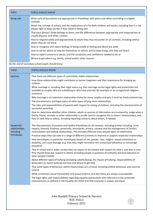| <b>TOPIC</b> | <b>PUPILS SHOULD KNOW</b>                                                                                                                                                   |
|--------------|-----------------------------------------------------------------------------------------------------------------------------------------------------------------------------|
| Being safe   | What sorts of boundaries are appropriate in friendships with peers and others (including in a digital<br>context)                                                           |
|              | About the concept of privacy and the implications of it for both children and adults; including that it is not<br>always right to keep secrets if they relate to being safe |
|              | That each person's body belongs to them, and the differences between appropriate and inappropriate or<br>unsafe physical, and other, contact                                |
|              | How to respond safely and appropriately to adults they may encounter (in all contexts, including online)<br>whom they do not know                                           |
|              | How to recognise and report feelings of being unsafe or feeling bad about any adult                                                                                         |
|              | How to ask for advice or help for themselves or others, and to keep trying until they are heard                                                                             |
|              | How to report concerns or abuse, and the vocabulary and confidence needed to do so                                                                                          |
|              | Where to get advice e.g. family, school and/or other sources                                                                                                                |

By the end of secondary school pupils should know:

| <b>TOPIC</b>                              | PUPILS SHOULD KNOW                                                                                                                                                                                                                                                                                                           |  |  |  |  |
|-------------------------------------------|------------------------------------------------------------------------------------------------------------------------------------------------------------------------------------------------------------------------------------------------------------------------------------------------------------------------------|--|--|--|--|
| <b>Families</b>                           | That there are different types of committed, stable relationships                                                                                                                                                                                                                                                            |  |  |  |  |
|                                           | How these relationships might contribute to human happiness and their importance for bringing up<br>children                                                                                                                                                                                                                 |  |  |  |  |
|                                           | What marriage is, including their legal status e.g. that marriage carries legal rights and protections not<br>available to couples who are cohabiting or who have married, for example, in an unregistered religious<br>ceremony                                                                                             |  |  |  |  |
|                                           | Why marriage is an important relationship choice for many couples and why it must be freely entered into                                                                                                                                                                                                                     |  |  |  |  |
|                                           | The characteristics and legal status of other types of long-term relationships                                                                                                                                                                                                                                               |  |  |  |  |
|                                           | The roles and responsibilities of parents with respect to raising of children, including the characteristics of<br>successful parenting                                                                                                                                                                                      |  |  |  |  |
|                                           | How to: determine whether other children, adults or sources of information are trustworthy: judge when a<br>family, friend, intimate or other relationship is unsafe (and to recognise this in others' relationships); and,<br>how to seek help or advice, including reporting concerns about others, if needed              |  |  |  |  |
| Respectful<br>relationships,<br>including | The characteristics of positive and healthy friendships (in all contexts, including online) including: trust,<br>respect, honesty, kindness, generosity, boundaries, privacy, consent and the management of conflict,<br>reconciliation and ending relationships. This includes different (non-sexual) types of relationship |  |  |  |  |
| friendships                               | Practical steps they can take in a range of different contexts to improve or support respectful relationships                                                                                                                                                                                                                |  |  |  |  |
|                                           | How stereotypes, in particular stereotypes based on sex, gender, race, religion, sexual orientation or<br>disability, can cause damage (e.g. how they might normalise non-consensual behaviour or encourage<br>prejudice)                                                                                                    |  |  |  |  |
|                                           | That in school and in wider society they can expect to be treated with respect by others, and that in turn<br>they should show due respect to others, including people in positions of authority and due tolerance of<br>other people's beliefs                                                                              |  |  |  |  |
|                                           | About different types of bullying (including cyberbullying), the impact of bullying, responsibilities of<br>bystanders to report bullying and how and where to get help                                                                                                                                                      |  |  |  |  |
|                                           | That some types of behaviour within relationships are criminal, including violent behaviour and coercive<br>control                                                                                                                                                                                                          |  |  |  |  |
|                                           | What constitutes sexual harassment and sexual violence and why these are always unacceptable                                                                                                                                                                                                                                 |  |  |  |  |
|                                           | The legal rights and responsibilities regarding equality (particularly with reference to the protected<br>characteristics as defined in the Equality Act 2010) and that everyone is unique and equal                                                                                                                         |  |  |  |  |
|                                           |                                                                                                                                                                                                                                                                                                                              |  |  |  |  |

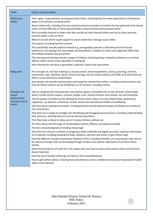| <b>TOPIC</b>                                                           | PUPILS SHOULD KNOW                                                                                                                                                                                                                                                                                                                                                                                                                                                                                                                                                                                                                                                                                                                                                                                                                                                                                                                                                                                                                                                                                                                                                                                                                                                                                                                                                                                                                                                                                                                                                                                                                                                                                                                                          |
|------------------------------------------------------------------------|-------------------------------------------------------------------------------------------------------------------------------------------------------------------------------------------------------------------------------------------------------------------------------------------------------------------------------------------------------------------------------------------------------------------------------------------------------------------------------------------------------------------------------------------------------------------------------------------------------------------------------------------------------------------------------------------------------------------------------------------------------------------------------------------------------------------------------------------------------------------------------------------------------------------------------------------------------------------------------------------------------------------------------------------------------------------------------------------------------------------------------------------------------------------------------------------------------------------------------------------------------------------------------------------------------------------------------------------------------------------------------------------------------------------------------------------------------------------------------------------------------------------------------------------------------------------------------------------------------------------------------------------------------------------------------------------------------------------------------------------------------------|
| Online and<br>media                                                    | Their rights, responsibilities and opportunities online, including that the same expectations of behaviour<br>apply in all contexts, including online<br>About online risks, including that any material someone provides to another has the potential to be shared<br>online and the difficulty of removing potentially compromising material placed online<br>Not to provide material to others that they would not want shared further and not to share personal<br>material which is sent to them<br>What to do and where to get support to report material or manage issues online<br>The impact of viewing harmful content<br>That specifically sexually explicit material e.g. pornography presents a distorted picture of sexual<br>behaviours, can damage the way people see themselves in relation to others and negatively affect how<br>they behave towards sexual partners<br>That sharing and viewing indecent images of children (including those created by children) is a criminal<br>offence which carries severe penalties including jail<br>How information and data is generated, collected, shared and used online                                                                                                                                                                                                                                                                                                                                                                                                                                                                                                                                                                                                                    |
| Being safe                                                             | The concepts of, and laws relating to, sexual consent, sexual exploitation, abuse, grooming, coercion,<br>harassment, rape, domestic abuse, forced marriage, honour-based violence and FGM, and how these can<br>affect current and future relationships<br>How people can actively communicate and recognise consent from others, including sexual consent, and<br>how and when consent can be withdrawn (in all contexts, including online)                                                                                                                                                                                                                                                                                                                                                                                                                                                                                                                                                                                                                                                                                                                                                                                                                                                                                                                                                                                                                                                                                                                                                                                                                                                                                                               |
| Intimate and<br>sexual<br>relationships,<br>including sexual<br>health | How to recognise the characteristics and positive aspects of healthy one-to-one intimate relationships,<br>which include mutual respect, consent, loyalty, trust, shared interests and outlook, sex and friendship<br>That all aspects of health can be affected by choices they make in sex and relationships, positively or<br>negatively, e.g. physical, emotional, mental, sexual and reproductive health and wellbeing<br>The facts about reproductive health, including fertility and the potential impact of lifestyle on fertility for<br>men and women<br>That there are a range of strategies for identifying and managing sexual pressure, including understanding<br>peer pressure, resisting pressure and not pressurising others<br>That they have a choice to delay sex or to enjoy intimacy without sex<br>The facts about the full range of contraceptive choices, efficacy and options available<br>The facts around pregnancy including miscarriage<br>That there are choices in relation to pregnancy (with medically and legally accurate, impartial information<br>on all options, including keeping the baby, adoption, abortion and where to get further help)<br>How the different sexually transmitted infections (STIs), including HIV/AIDs, are transmitted, how risk can<br>be reduced through safer sex (including through condom use) and the importance of and facts about<br>testing<br>About the prevalence of some STIs, the impact they can have on those who contract them and key facts<br>about treatment<br>How the use of alcohol and drugs can lead to risky sexual behaviour<br>How to get further advice, including how and where to access confidential sexual and reproductive health<br>advice and treatment |

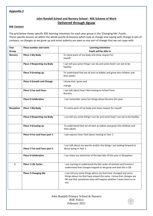#### **Appendix 2**

## **John Randall School and Nursery School - RSE Scheme of Work Delivered through Jigsaw**

#### **RSE Content**

The grid below shows specific RSE learning intentions for each year group in the 'Changing Me' Puzzle. These specific lessons sit within the whole puzzle (6 lessons) which look at change and coping with change in lots of contexts, so changes as we grow up and enter puberty are seen as one sort of change that we can cope with.

| Year           | Piece number and name             | <b>Learning Intentions</b>                                                                                                                                                                                       |  |  |
|----------------|-----------------------------------|------------------------------------------------------------------------------------------------------------------------------------------------------------------------------------------------------------------|--|--|
| Group          |                                   | Pupils will be able to                                                                                                                                                                                           |  |  |
| <b>Nursery</b> | Piece 1 My Body                   | To name parts of my body and show respect for<br>myself.                                                                                                                                                         |  |  |
|                | <b>Piece 2 Respecting my Body</b> | I can tell you some things I can do and some food I can eat to be<br>healthy.                                                                                                                                    |  |  |
|                | <b>Piece 3 Growing up</b>         | To understand that we all start as babies and grow into children and<br>then adults.                                                                                                                             |  |  |
|                | <b>Piece 4 Growth and Change</b>  | I know that I grow and                                                                                                                                                                                           |  |  |
|                |                                   | change.                                                                                                                                                                                                          |  |  |
|                | <b>Piece 5 Fun and Fears</b>      | I can talk about how I feel moving to School from<br>Nursery.                                                                                                                                                    |  |  |
|                | <b>Piece 6 Celebration</b>        | I can remember some fun things about Nursery this year.                                                                                                                                                          |  |  |
| Reception      | Piece 1 My Body                   | To name parts of my body and show respect for myself.                                                                                                                                                            |  |  |
|                | <b>Piece 2 Respecting my Body</b> | I can tell you some things I can do and some food I can eat to be healthy                                                                                                                                        |  |  |
|                | <b>Piece 3 Growing up</b>         | To understand that we all start as babies and grow into children and<br>then adults.                                                                                                                             |  |  |
|                | Piece 4 Fun and Fears part 1      | I can express how I feel about moving to Year 1.                                                                                                                                                                 |  |  |
|                | Piece 5 Fun and Fears part 2      | I can talk about my worries and/or the things I am looking forward to<br>about being in Year 1.                                                                                                                  |  |  |
|                | <b>Piece 6 Celebration</b>        | I can share my memories of the best bits of this year in Reception.                                                                                                                                              |  |  |
| $\mathbf{1}$   | Piece 1 Life Cycles               | I am starting to understand the life cycles of animals and humans I<br>understand that changes happen as we grow and that this is OK.                                                                            |  |  |
|                | <b>Piece 2 Changing Me</b>        | I can tell you some things about me that have changed and some<br>things about me that have stayed the same. I know that changes are<br>OK and that sometimes they will happen whether I want them to or<br>not. |  |  |

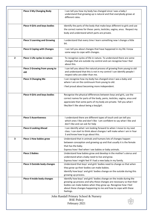|              | <b>Piece 3 My Changing Body</b>      | I can tell you how my body has changed since I was a baby I<br>understand that growing up is natural and that everybody grows at<br>different rates.                                                                                                                                          |  |  |  |
|--------------|--------------------------------------|-----------------------------------------------------------------------------------------------------------------------------------------------------------------------------------------------------------------------------------------------------------------------------------------------|--|--|--|
|              | <b>Piece 4 Girls and boys bodies</b> | Identify the parts of the body that make boys different to girls and use<br>the correct names for these: penis, testicles, vagina, anus. Respect my<br>body and understand which parts are private.                                                                                           |  |  |  |
|              | <b>Piece 5 Learning and Growing</b>  | I understand that every time I learn something new I change a little<br>bit.                                                                                                                                                                                                                  |  |  |  |
|              | <b>Piece 6 Coping with Changes</b>   | I can tell you about changes that have happened in my life I know<br>some ways to cope with changes.                                                                                                                                                                                          |  |  |  |
| $\mathbf{2}$ | Piece 1 Life cycles in nature        | To recognise cycles of life in nature. To understand there are some<br>changes that are outside my control and can recognise how I feel<br>about this.                                                                                                                                        |  |  |  |
|              | Piece 2 Growing from young to<br>old | I can tell you about the natural process of growing from young to old<br>and understand that this is not in my control I can identify people I<br>respect who are older than me.                                                                                                              |  |  |  |
|              | <b>Piece 3 Changing Me</b>           | I can recognise how my body has changed since I was a baby and<br>where I am on the continuum from young to old.                                                                                                                                                                              |  |  |  |
|              |                                      | I feel proud about becoming more independent.                                                                                                                                                                                                                                                 |  |  |  |
|              | <b>Piece 4 Girls and boys bodies</b> | Recognise the physical differences between boys and girls, use the<br>correct names for parts of the body, penis, testicles, vagina, anus and<br>appreciate that some parts of my body are private. Tell you what I<br>like/don't like about being a boy/girl.                                |  |  |  |
|              | <b>Piece 5 Assertiveness</b>         | I understand there are different types of touch and can tell you<br>which ones I like and don't like I am confident to say what I like and<br>don't like and can ask for help                                                                                                                 |  |  |  |
|              | <b>Piece 6 Looking Ahead</b>         | I can identify what I am looking forward to when I move to my next<br>class. I can start to think about changes I will make when I am in Year<br>3 and know how to go about this.                                                                                                             |  |  |  |
| 3            | Piece 1 How babies grow              | Understand that in animals and humans lots of changes happen<br>between conception and growing up and that usually it is the female<br>that has the baby.<br>Express how I feel when I see babies or baby animals.                                                                            |  |  |  |
|              | <b>Piece 2 Babies</b>                | Understand how babies grow and develop in the mother's uterus and<br>understand what a baby need to live and grow.<br>Express how I might feel if I had a new baby in my family.                                                                                                              |  |  |  |
|              | Piece 3 Outside body changes         | Understand that boys' and girls' bodies need to change so that when<br>they grow up their bodies can make babies.<br>Identify how boys' and girls' bodies change on the outside during this<br>growing up process.                                                                            |  |  |  |
|              | Piece 4 Inside body changes          | Identify how boys' and girls' bodies change on the inside during the<br>growing up process and why these changes are necessary so that their<br>bodies can make babies when they grow up. Recognise how I feel<br>about these changes happening to me and how to cope with these<br>feelings. |  |  |  |
|              |                                      | John Randall Primary School & Nursery<br><b>RSE Policy</b>                                                                                                                                                                                                                                    |  |  |  |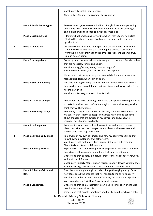|   |                                             | Vocabulary: Testicles, Sperm, Penis,                                                                                                                                                                                                                                                                                                                                                 |  |  |  |
|---|---------------------------------------------|--------------------------------------------------------------------------------------------------------------------------------------------------------------------------------------------------------------------------------------------------------------------------------------------------------------------------------------------------------------------------------------|--|--|--|
|   |                                             | Ovaries, Egg, Ovum/ Ova, Womb/ Uterus, Vagina                                                                                                                                                                                                                                                                                                                                        |  |  |  |
|   |                                             |                                                                                                                                                                                                                                                                                                                                                                                      |  |  |  |
|   | <b>Piece 5 Family Stereotypes</b>           | To start to recognise stereotypical ideas I might have about parenting<br>and family roles To express how I feel when my ideas are challenged<br>and might be willing to change my ideas sometimes.                                                                                                                                                                                  |  |  |  |
|   | <b>Piece 6 Looking Ahead</b>                | Identify what I am looking forward to when I move to my next class<br>Start to think about changes I will make next year and know how to<br>go about this.                                                                                                                                                                                                                           |  |  |  |
| 4 | <b>Piece 1 Unique Me</b>                    | To understand that some of my personal characteristics have come<br>from my birth parents and that this happens because I am made<br>from the joining of their egg and sperm I appreciate that I am a truly<br>unique human being.                                                                                                                                                   |  |  |  |
|   | Piece 2 Having a baby                       | Correctly label the internal and external parts of male and female bodies<br>that are necessary for making a baby.<br>Vocabulary: Egg/ Ovum, Penis, Testicles, Vagina/<br>Vulva, Womb/ Uterus, Ovaries, Fertilise Conception                                                                                                                                                         |  |  |  |
|   |                                             | Understand that having a baby is a personal choice and express how I<br>feel about children when I am an adult.                                                                                                                                                                                                                                                                      |  |  |  |
|   | <b>Piece 3 Girls and Puberty</b>            | Describe how a girl's body changes in order for her to be able to have<br>babies when she is an adult and that menstruation (having periods) is a<br>natural part of this.<br>Vocabulary: Puberty, Menstruation, Periods                                                                                                                                                             |  |  |  |
|   | <b>Piece 4 Circles of Change</b>            | I know how the circle of change works and can apply it to changes I want<br>to make in my life. I am confident enough to try to make changes when I<br>think they will benefit me.                                                                                                                                                                                                   |  |  |  |
|   | <b>Piece 5 Accepting Change</b>             | To identify changes that have been and may continue to be outside of<br>my control that I learnt to accept To express my fears and concerns<br>about changes that are outside of my control and know how to<br>manage these feelings positively.                                                                                                                                     |  |  |  |
|   | <b>Piece 6 Looking Ahead</b>                | I can identify what I am looking forward to when I move to a new<br>class I can reflect on the changes I would like to make next year and<br>can describe how to go about this.                                                                                                                                                                                                      |  |  |  |
| 5 | <b>Piece 1 Self and Body image</b>          | I am aware of my own self-image and how my body image fits so that I<br>know how to develop my own self esteem.<br>Vocabulary: Self, Self-image, Body image, Self-esteem, Perception,<br>Characteristics, Aspects, Affirmation                                                                                                                                                       |  |  |  |
|   | <b>Piece 2 Puberty for Girls</b>            | Explain how a girl's body changes through puberty and understand the<br>importance of looking after myself physically and emotionally.<br>Understand that puberty is a natural process that happens to everybody<br>and it will be ok for me.<br>Vocabulary: Puberty Menstruation Periods Sanitary towels Sanitary pads<br>Tampons Ovary/ Ovaries Vagina Oestrogen Vulva Womb/Uterus |  |  |  |
|   | Piece 3 Puberty of Girls and<br><b>Boys</b> | Describe how a boy's and girl's bodies change through puberty. Express<br>how I feel about the changes that will happen to me during puberty.<br>Vocabulary : Puberty Sperm Semen Testicles/Testes Erection Ejaculation<br>Wet dream Larynx Facial hair Growth spurt Hormones                                                                                                        |  |  |  |
|   | <b>Piece 4 Conception</b>                   | Understand that sexual intercourse can lead to conception and that is<br>how babies are usually made.<br>Understand that people sometimes need IVF to help them have a baby.                                                                                                                                                                                                         |  |  |  |
|   |                                             | John Randall Primary School & Nursery<br><b>RSE Policy</b><br>February 2021                                                                                                                                                                                                                                                                                                          |  |  |  |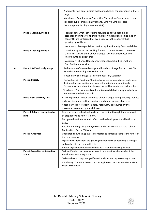|   |                                        | Appreciate how amazing it is that human bodies can reproduce in these<br>ways.<br>Vocabulary: Relationships Conception Making love Sexual intercourse                                                                           |
|---|----------------------------------------|---------------------------------------------------------------------------------------------------------------------------------------------------------------------------------------------------------------------------------|
|   |                                        | Fallopian tube Fertilisation Pregnancy Embryo Umbilical cord                                                                                                                                                                    |
|   |                                        | Contraception Fertility treatment (IVF)                                                                                                                                                                                         |
|   |                                        |                                                                                                                                                                                                                                 |
|   | <b>Piece 5 Looking Ahead 1</b>         | I can identify what I am looking forward to about becoming a<br>teenager and understand this brings growing responsibilities (age of<br>consent) I am confident that I can cope with the changes that<br>growing up will bring. |
|   |                                        | Vocabulary: Teenager Milestone Perceptions Puberty Responsibilities                                                                                                                                                             |
|   | <b>Piece 6 Looking Ahead 2</b>         | I can identify what I am looking forward to when I move to my next<br>class I can start to think about changes I will make next year and<br>know how to go about this.                                                          |
|   |                                        | Vocabulary: Change Hope Manage Cope Opportunities Emotions<br><b>Fear Excitement Anxious</b>                                                                                                                                    |
| 6 | Piece 1 Self and body image            | To be aware of own self-image and how body image fits into that. To<br>know how to develop own self esteem.                                                                                                                     |
|   |                                        | Vocabulary: Self-image Self-esteem Real self, Celebrity                                                                                                                                                                         |
|   | <b>Piece 2 Puberty</b>                 | Explain how girls' and boys' bodies change during puberty and understand<br>the importance of looking after yourself physically and emotionally.                                                                                |
|   |                                        | Express how I feel about the changes that will happen to me during puberty                                                                                                                                                      |
|   |                                        | Vocabulary: Opportunities Freedoms Responsibilities Puberty vocabulary as<br>represented on the flash cards                                                                                                                     |
|   | Piece 3 Girl talk/Boy talk             | Ask the questions I need answered about changes during puberty. Reflect                                                                                                                                                         |
|   |                                        | on how I feel about asking questions and about answers I receive.                                                                                                                                                               |
|   |                                        | Vocabulary: Trust Respect Puberty vocabulary as required by the                                                                                                                                                                 |
|   |                                        | questions presented by the children                                                                                                                                                                                             |
|   | Piece 4 Babies- conception to          | Describe how a baby develops from conception through the nine months                                                                                                                                                            |
|   | birth                                  | of pregnancy and how it is born.                                                                                                                                                                                                |
|   |                                        | Recognise how I feel when I reflect on the development and birth of a                                                                                                                                                           |
|   |                                        | baby.                                                                                                                                                                                                                           |
|   |                                        | Vocabulary: Pregnancy Embryo Foetus Placenta Umbilical cord Labour<br><b>Contractions Cervix Midwife</b>                                                                                                                        |
|   | <b>Piece 5 Attraction</b>              | Understand how being physically attracted to someone changes the nature of                                                                                                                                                      |
|   |                                        | the relationships.                                                                                                                                                                                                              |
|   |                                        | Express how I feel about the growing independence of becoming a teenager                                                                                                                                                        |
|   |                                        | and confident I can cope with this.                                                                                                                                                                                             |
|   |                                        | Vocabulary: Independence Grown up Attraction Relationship Friends                                                                                                                                                               |
|   | <b>Piece 6 Transition to Secondary</b> | To identify what I am looking forward to and what worries me about the                                                                                                                                                          |
|   | <b>School</b>                          | transition to secondary school.                                                                                                                                                                                                 |
|   |                                        | To know how to prepare myself emotionally for starting secondary school.                                                                                                                                                        |
|   |                                        | Vocabulary: Transition Secondary Looking forward Journey Worries Anxiety<br><b>Hopes Excitement</b>                                                                                                                             |